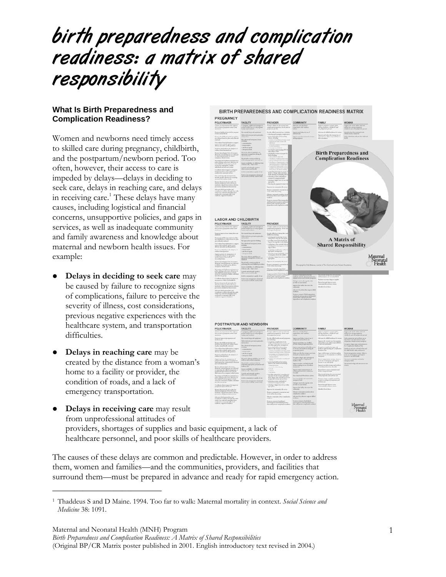# birth preparedness and complication readiness: a matrix of shared responsibility

## **What Is Birth Preparedness and Complication Readiness?**

Women and newborns need timely access to skilled care during pregnancy, childbirth, and the postpartum/newborn period. Too often, however, their access to care is impeded by delays—delays in deciding to seek care, delays in reaching care, and delays in receiving care.<sup>1</sup> These delays have many causes, including logistical and financial concerns, unsupportive policies, and gaps in services, as well as inadequate community and family awareness and knowledge about maternal and newborn health issues. For example:

- z **Delays in deciding to seek care** may be caused by failure to recognize signs of complications, failure to perceive the severity of illness, cost considerations, previous negative experiences with the healthcare system, and transportation difficulties.
- **Delays in reaching care** may be created by the distance from a woman's home to a facility or provider, the condition of roads, and a lack of emergency transportation.

\_\_\_\_\_\_\_\_\_\_\_\_\_\_\_\_\_\_\_\_\_\_\_\_\_



**Delays in receiving care** may result from unprofessional attitudes of providers, shortages of supplies and basic equipment, a lack of healthcare personnel, and poor skills of healthcare providers.

The causes of these delays are common and predictable. However, in order to address them, women and families—and the communities, providers, and facilities that surround them—must be prepared in advance and ready for rapid emergency action.

Maternal and Neonatal Health (MNH) Program *Birth Preparedness and Complication Readiness: A Matrix of Shared Responsibilities*  (Original BP/CR Matrix poster published in 2001. English introductory text revised in 2004.)

<sup>1</sup> Thaddeus S and D Maine. 1994. Too far to walk: Maternal mortality in context. *Social Science and Medicine* 38: 1091.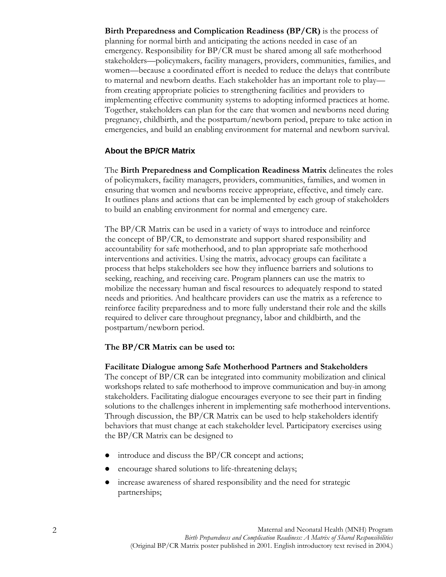**Birth Preparedness and Complication Readiness (BP/CR)** is the process of planning for normal birth and anticipating the actions needed in case of an emergency. Responsibility for BP/CR must be shared among all safe motherhood stakeholders—policymakers, facility managers, providers, communities, families, and women—because a coordinated effort is needed to reduce the delays that contribute to maternal and newborn deaths. Each stakeholder has an important role to play from creating appropriate policies to strengthening facilities and providers to implementing effective community systems to adopting informed practices at home. Together, stakeholders can plan for the care that women and newborns need during pregnancy, childbirth, and the postpartum/newborn period, prepare to take action in emergencies, and build an enabling environment for maternal and newborn survival.

## **About the BP/CR Matrix**

The **Birth Preparedness and Complication Readiness Matrix** delineates the roles of policymakers, facility managers, providers, communities, families, and women in ensuring that women and newborns receive appropriate, effective, and timely care. It outlines plans and actions that can be implemented by each group of stakeholders to build an enabling environment for normal and emergency care.

The BP/CR Matrix can be used in a variety of ways to introduce and reinforce the concept of BP/CR, to demonstrate and support shared responsibility and accountability for safe motherhood, and to plan appropriate safe motherhood interventions and activities. Using the matrix, advocacy groups can facilitate a process that helps stakeholders see how they influence barriers and solutions to seeking, reaching, and receiving care. Program planners can use the matrix to mobilize the necessary human and fiscal resources to adequately respond to stated needs and priorities. And healthcare providers can use the matrix as a reference to reinforce facility preparedness and to more fully understand their role and the skills required to deliver care throughout pregnancy, labor and childbirth, and the postpartum/newborn period.

#### **The BP/CR Matrix can be used to:**

#### **Facilitate Dialogue among Safe Motherhood Partners and Stakeholders**

The concept of BP/CR can be integrated into community mobilization and clinical workshops related to safe motherhood to improve communication and buy-in among stakeholders. Facilitating dialogue encourages everyone to see their part in finding solutions to the challenges inherent in implementing safe motherhood interventions. Through discussion, the BP/CR Matrix can be used to help stakeholders identify behaviors that must change at each stakeholder level. Participatory exercises using the BP/CR Matrix can be designed to

- $\bullet$  introduce and discuss the BP/CR concept and actions;
- encourage shared solutions to life-threatening delays;
- increase awareness of shared responsibility and the need for strategic partnerships;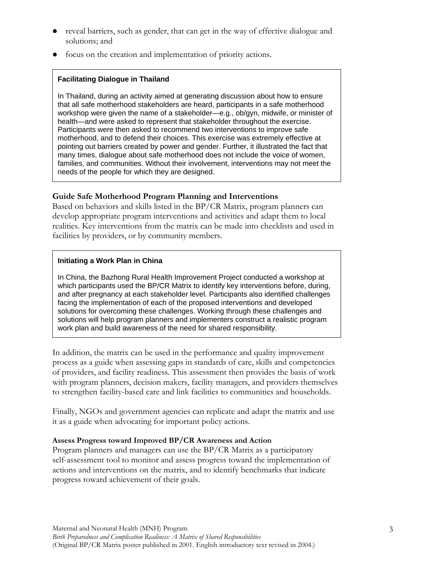- reveal barriers, such as gender, that can get in the way of effective dialogue and solutions; and
- focus on the creation and implementation of priority actions.

## **Facilitating Dialogue in Thailand**

In Thailand, during an activity aimed at generating discussion about how to ensure that all safe motherhood stakeholders are heard, participants in a safe motherhood workshop were given the name of a stakeholder—e.g., ob/gyn, midwife, or minister of health—and were asked to represent that stakeholder throughout the exercise. Participants were then asked to recommend two interventions to improve safe motherhood, and to defend their choices. This exercise was extremely effective at pointing out barriers created by power and gender. Further, it illustrated the fact that many times, dialogue about safe motherhood does not include the voice of women, families, and communities. Without their involvement, interventions may not meet the needs of the people for which they are designed.

# **Guide Safe Motherhood Program Planning and Interventions**

Based on behaviors and skills listed in the BP/CR Matrix, program planners can develop appropriate program interventions and activities and adapt them to local realities. Key interventions from the matrix can be made into checklists and used in facilities by providers, or by community members.

## **Initiating a Work Plan in China**

In China, the Bazhong Rural Health Improvement Project conducted a workshop at which participants used the BP/CR Matrix to identify key interventions before, during, and after pregnancy at each stakeholder level. Participants also identified challenges facing the implementation of each of the proposed interventions and developed solutions for overcoming these challenges. Working through these challenges and solutions will help program planners and implementers construct a realistic program work plan and build awareness of the need for shared responsibility.

In addition, the matrix can be used in the performance and quality improvement process as a guide when assessing gaps in standards of care, skills and competencies of providers, and facility readiness. This assessment then provides the basis of work with program planners, decision makers, facility managers, and providers themselves to strengthen facility-based care and link facilities to communities and households.

Finally, NGOs and government agencies can replicate and adapt the matrix and use it as a guide when advocating for important policy actions.

## **Assess Progress toward Improved BP/CR Awareness and Action**

Program planners and managers can use the BP/CR Matrix as a participatory self-assessment tool to monitor and assess progress toward the implementation of actions and interventions on the matrix, and to identify benchmarks that indicate progress toward achievement of their goals.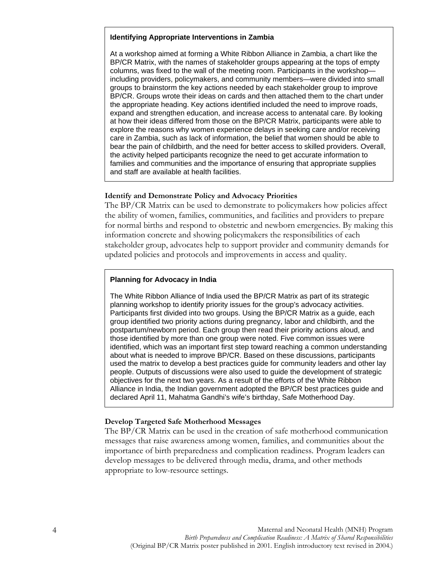#### **Identifying Appropriate Interventions in Zambia**

At a workshop aimed at forming a White Ribbon Alliance in Zambia, a chart like the BP/CR Matrix, with the names of stakeholder groups appearing at the tops of empty columns, was fixed to the wall of the meeting room. Participants in the workshop including providers, policymakers, and community members—were divided into small groups to brainstorm the key actions needed by each stakeholder group to improve BP/CR. Groups wrote their ideas on cards and then attached them to the chart under the appropriate heading. Key actions identified included the need to improve roads, expand and strengthen education, and increase access to antenatal care. By looking at how their ideas differed from those on the BP/CR Matrix, participants were able to explore the reasons why women experience delays in seeking care and/or receiving care in Zambia, such as lack of information, the belief that women should be able to bear the pain of childbirth, and the need for better access to skilled providers. Overall, the activity helped participants recognize the need to get accurate information to families and communities and the importance of ensuring that appropriate supplies and staff are available at health facilities.

#### **Identify and Demonstrate Policy and Advocacy Priorities**

The BP/CR Matrix can be used to demonstrate to policymakers how policies affect the ability of women, families, communities, and facilities and providers to prepare for normal births and respond to obstetric and newborn emergencies. By making this information concrete and showing policymakers the responsibilities of each stakeholder group, advocates help to support provider and community demands for updated policies and protocols and improvements in access and quality.

#### **Planning for Advocacy in India**

The White Ribbon Alliance of India used the BP/CR Matrix as part of its strategic planning workshop to identify priority issues for the group's advocacy activities. Participants first divided into two groups. Using the BP/CR Matrix as a guide, each group identified two priority actions during pregnancy, labor and childbirth, and the postpartum/newborn period. Each group then read their priority actions aloud, and those identified by more than one group were noted. Five common issues were identified, which was an important first step toward reaching a common understanding about what is needed to improve BP/CR. Based on these discussions, participants used the matrix to develop a best practices guide for community leaders and other lay people. Outputs of discussions were also used to guide the development of strategic objectives for the next two years. As a result of the efforts of the White Ribbon Alliance in India, the Indian government adopted the BP/CR best practices guide and declared April 11, Mahatma Gandhi's wife's birthday, Safe Motherhood Day.

#### **Develop Targeted Safe Motherhood Messages**

The BP/CR Matrix can be used in the creation of safe motherhood communication messages that raise awareness among women, families, and communities about the importance of birth preparedness and complication readiness. Program leaders can develop messages to be delivered through media, drama, and other methods appropriate to low-resource settings.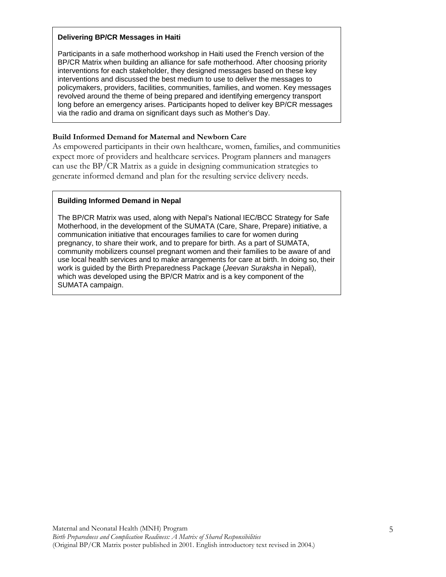#### **Delivering BP/CR Messages in Haiti**

Participants in a safe motherhood workshop in Haiti used the French version of the BP/CR Matrix when building an alliance for safe motherhood. After choosing priority interventions for each stakeholder, they designed messages based on these key interventions and discussed the best medium to use to deliver the messages to policymakers, providers, facilities, communities, families, and women. Key messages revolved around the theme of being prepared and identifying emergency transport long before an emergency arises. Participants hoped to deliver key BP/CR messages via the radio and drama on significant days such as Mother's Day.

### **Build Informed Demand for Maternal and Newborn Care**

As empowered participants in their own healthcare, women, families, and communities expect more of providers and healthcare services. Program planners and managers can use the BP/CR Matrix as a guide in designing communication strategies to generate informed demand and plan for the resulting service delivery needs.

## **Building Informed Demand in Nepal**

The BP/CR Matrix was used, along with Nepal's National IEC/BCC Strategy for Safe Motherhood, in the development of the SUMATA (Care, Share, Prepare) initiative, a communication initiative that encourages families to care for women during pregnancy, to share their work, and to prepare for birth. As a part of SUMATA, community mobilizers counsel pregnant women and their families to be aware of and use local health services and to make arrangements for care at birth. In doing so, their work is guided by the Birth Preparedness Package (Jeevan Suraksha in Nepali), which was developed using the BP/CR Matrix and is a key component of the SUMATA campaign.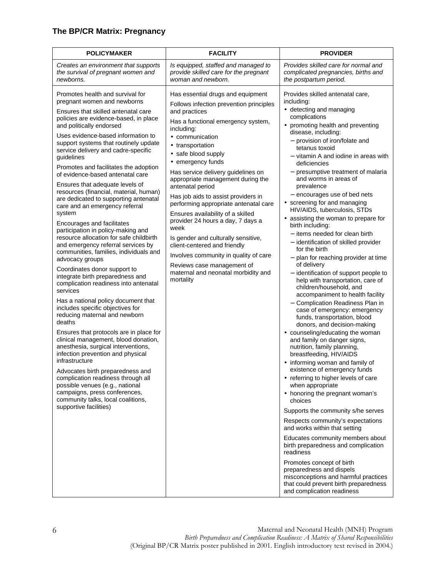# **The BP/CR Matrix: Pregnancy**

| <b>POLICYMAKER</b>                                                                                                                                                                                                                                                                                                                                                                                                                                                                                                                                                                                                                                                                                                                                                                                                                                                                                                                                                                                                                                                                                                                                                                                                                                                                                                                                                                                                             | <b>FACILITY</b>                                                                                                                                                                                                                                                                                                                                                                                                                                                                                                                                                                                                                                                                                         | <b>PROVIDER</b>                                                                                                                                                                                                                                                                                                                                                                                                                                                                                                                                                                                                                                                                                                                                                                                                                                                                                                                                                                                                                                                                                                                                                                                                                                                                                                                                                                                                                                                                                                                                                                                                                      |
|--------------------------------------------------------------------------------------------------------------------------------------------------------------------------------------------------------------------------------------------------------------------------------------------------------------------------------------------------------------------------------------------------------------------------------------------------------------------------------------------------------------------------------------------------------------------------------------------------------------------------------------------------------------------------------------------------------------------------------------------------------------------------------------------------------------------------------------------------------------------------------------------------------------------------------------------------------------------------------------------------------------------------------------------------------------------------------------------------------------------------------------------------------------------------------------------------------------------------------------------------------------------------------------------------------------------------------------------------------------------------------------------------------------------------------|---------------------------------------------------------------------------------------------------------------------------------------------------------------------------------------------------------------------------------------------------------------------------------------------------------------------------------------------------------------------------------------------------------------------------------------------------------------------------------------------------------------------------------------------------------------------------------------------------------------------------------------------------------------------------------------------------------|--------------------------------------------------------------------------------------------------------------------------------------------------------------------------------------------------------------------------------------------------------------------------------------------------------------------------------------------------------------------------------------------------------------------------------------------------------------------------------------------------------------------------------------------------------------------------------------------------------------------------------------------------------------------------------------------------------------------------------------------------------------------------------------------------------------------------------------------------------------------------------------------------------------------------------------------------------------------------------------------------------------------------------------------------------------------------------------------------------------------------------------------------------------------------------------------------------------------------------------------------------------------------------------------------------------------------------------------------------------------------------------------------------------------------------------------------------------------------------------------------------------------------------------------------------------------------------------------------------------------------------------|
| Creates an environment that supports<br>the survival of pregnant women and<br>newborns.                                                                                                                                                                                                                                                                                                                                                                                                                                                                                                                                                                                                                                                                                                                                                                                                                                                                                                                                                                                                                                                                                                                                                                                                                                                                                                                                        | Is equipped, staffed and managed to<br>provide skilled care for the pregnant<br>woman and newborn.                                                                                                                                                                                                                                                                                                                                                                                                                                                                                                                                                                                                      | Provides skilled care for normal and<br>complicated pregnancies, births and<br>the postpartum period.                                                                                                                                                                                                                                                                                                                                                                                                                                                                                                                                                                                                                                                                                                                                                                                                                                                                                                                                                                                                                                                                                                                                                                                                                                                                                                                                                                                                                                                                                                                                |
| Promotes health and survival for<br>pregnant women and newborns<br>Ensures that skilled antenatal care<br>policies are evidence-based, in place<br>and politically endorsed<br>Uses evidence-based information to<br>support systems that routinely update<br>service delivery and cadre-specific<br>guidelines<br>Promotes and facilitates the adoption<br>of evidence-based antenatal care<br>Ensures that adequate levels of<br>resources (financial, material, human)<br>are dedicated to supporting antenatal<br>care and an emergency referral<br>system<br>Encourages and facilitates<br>participation in policy-making and<br>resource allocation for safe childbirth<br>and emergency referral services by<br>communities, families, individuals and<br>advocacy groups<br>Coordinates donor support to<br>integrate birth preparedness and<br>complication readiness into antenatal<br>services<br>Has a national policy document that<br>includes specific objectives for<br>reducing maternal and newborn<br>deaths<br>Ensures that protocols are in place for<br>clinical management, blood donation,<br>anesthesia, surgical interventions,<br>infection prevention and physical<br>infrastructure<br>Advocates birth preparedness and<br>complication readiness through all<br>possible venues (e.g., national<br>campaigns, press conferences,<br>community talks, local coalitions,<br>supportive facilities) | Has essential drugs and equipment<br>Follows infection prevention principles<br>and practices<br>Has a functional emergency system,<br>including:<br>• communication<br>• transportation<br>• safe blood supply<br>• emergency funds<br>Has service delivery guidelines on<br>appropriate management during the<br>antenatal period<br>Has job aids to assist providers in<br>performing appropriate antenatal care<br>Ensures availability of a skilled<br>provider 24 hours a day, 7 days a<br>week<br>Is gender and culturally sensitive,<br>client-centered and friendly<br>Involves community in quality of care<br>Reviews case management of<br>maternal and neonatal morbidity and<br>mortality | Provides skilled antenatal care,<br>including:<br>• detecting and managing<br>complications<br>• promoting health and preventing<br>disease, including:<br>- provision of iron/folate and<br>tetanus toxoid<br>- vitamin A and iodine in areas with<br>deficiencies<br>- presumptive treatment of malaria<br>and worms in areas of<br>prevalence<br>- encourages use of bed nets<br>• screening for and managing<br>HIV/AIDS, tuberculosis, STDs<br>• assisting the woman to prepare for<br>birth including:<br>- items needed for clean birth<br>- identification of skilled provider<br>for the birth<br>- plan for reaching provider at time<br>of delivery<br>- identification of support people to<br>help with transportation, care of<br>children/household, and<br>accompaniment to health facility<br>- Complication Readiness Plan in<br>case of emergency: emergency<br>funds, transportation, blood<br>donors, and decision-making<br>• counseling/educating the woman<br>and family on danger signs,<br>nutrition, family planning,<br>breastfeeding, HIV/AIDS<br>• informing woman and family of<br>existence of emergency funds<br>• referring to higher levels of care<br>when appropriate<br>• honoring the pregnant woman's<br>choices<br>Supports the community s/he serves<br>Respects community's expectations<br>and works within that setting<br>Educates community members about<br>birth preparedness and complication<br>readiness<br>Promotes concept of birth<br>preparedness and dispels<br>misconceptions and harmful practices<br>that could prevent birth preparedness<br>and complication readiness |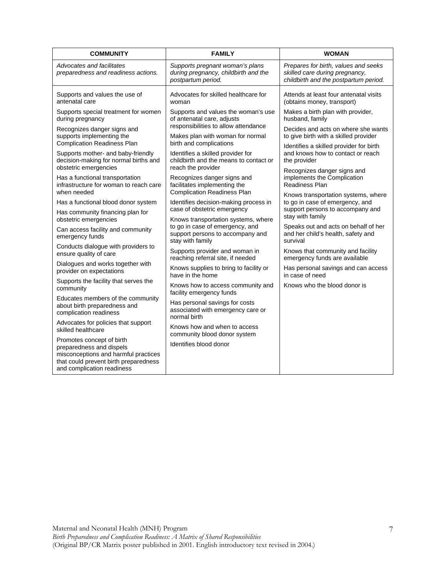| <b>COMMUNITY</b>                                                                                                                                                     | <b>FAMILY</b>                                                                                 | <b>WOMAN</b>                                                                                                    |
|----------------------------------------------------------------------------------------------------------------------------------------------------------------------|-----------------------------------------------------------------------------------------------|-----------------------------------------------------------------------------------------------------------------|
| Advocates and facilitates<br>preparedness and readiness actions.                                                                                                     | Supports pregnant woman's plans<br>during pregnancy, childbirth and the<br>postpartum period. | Prepares for birth, values and seeks<br>skilled care during pregnancy,<br>childbirth and the postpartum period. |
| Supports and values the use of                                                                                                                                       | Advocates for skilled healthcare for                                                          | Attends at least four antenatal visits                                                                          |
| antenatal care                                                                                                                                                       | woman                                                                                         | (obtains money, transport)                                                                                      |
| Supports special treatment for women                                                                                                                                 | Supports and values the woman's use                                                           | Makes a birth plan with provider,                                                                               |
| during pregnancy                                                                                                                                                     | of antenatal care, adjusts                                                                    | husband, family                                                                                                 |
| Recognizes danger signs and                                                                                                                                          | responsibilities to allow attendance                                                          | Decides and acts on where she wants                                                                             |
| supports implementing the                                                                                                                                            | Makes plan with woman for normal                                                              | to give birth with a skilled provider                                                                           |
| <b>Complication Readiness Plan</b>                                                                                                                                   | birth and complications                                                                       | Identifies a skilled provider for birth                                                                         |
| Supports mother- and baby-friendly                                                                                                                                   | Identifies a skilled provider for                                                             | and knows how to contact or reach                                                                               |
| decision-making for normal births and                                                                                                                                | childbirth and the means to contact or                                                        | the provider                                                                                                    |
| obstetric emergencies                                                                                                                                                | reach the provider                                                                            | Recognizes danger signs and                                                                                     |
| Has a functional transportation                                                                                                                                      | Recognizes danger signs and                                                                   | implements the Complication                                                                                     |
| infrastructure for woman to reach care                                                                                                                               | facilitates implementing the                                                                  | <b>Readiness Plan</b>                                                                                           |
| when needed                                                                                                                                                          | <b>Complication Readiness Plan</b>                                                            | Knows transportation systems, where                                                                             |
| Has a functional blood donor system                                                                                                                                  | Identifies decision-making process in                                                         | to go in case of emergency, and                                                                                 |
| Has community financing plan for                                                                                                                                     | case of obstetric emergency                                                                   | support persons to accompany and                                                                                |
| obstetric emergencies                                                                                                                                                | Knows transportation systems, where                                                           | stay with family                                                                                                |
| Can access facility and community<br>emergency funds                                                                                                                 | to go in case of emergency, and<br>support persons to accompany and<br>stay with family       | Speaks out and acts on behalf of her<br>and her child's health, safety and<br>survival                          |
| Conducts dialogue with providers to                                                                                                                                  | Supports provider and woman in                                                                | Knows that community and facility                                                                               |
| ensure quality of care                                                                                                                                               | reaching referral site, if needed                                                             | emergency funds are available                                                                                   |
| Dialogues and works together with                                                                                                                                    | Knows supplies to bring to facility or                                                        | Has personal savings and can access                                                                             |
| provider on expectations                                                                                                                                             | have in the home                                                                              | in case of need                                                                                                 |
| Supports the facility that serves the<br>community                                                                                                                   | Knows how to access community and<br>facility emergency funds                                 | Knows who the blood donor is                                                                                    |
| Educates members of the community<br>about birth preparedness and<br>complication readiness                                                                          | Has personal savings for costs<br>associated with emergency care or<br>normal birth           |                                                                                                                 |
| Advocates for policies that support<br>skilled healthcare                                                                                                            | Knows how and when to access<br>community blood donor system                                  |                                                                                                                 |
| Promotes concept of birth<br>preparedness and dispels<br>misconceptions and harmful practices<br>that could prevent birth preparedness<br>and complication readiness | Identifies blood donor                                                                        |                                                                                                                 |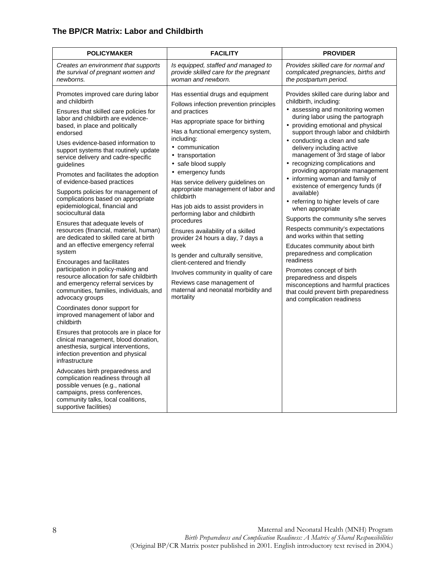## **The BP/CR Matrix: Labor and Childbirth**

| <b>POLICYMAKER</b>                                                                                                                                                                                                                                                                                                                                                                                                                                                                                                                                                                                                                                                                                                                                                                                                                                                                                                                                                                                                                                                                                                                                                                                                                                                                                                                                                                                                 | <b>FACILITY</b>                                                                                                                                                                                                                                                                                                                                                                                                                                                                                                                                                                                                                                                                                                                                   | <b>PROVIDER</b>                                                                                                                                                                                                                                                                                                                                                                                                                                                                                                                                                                                                                                                                                                                                                                                                                                                                                                       |
|--------------------------------------------------------------------------------------------------------------------------------------------------------------------------------------------------------------------------------------------------------------------------------------------------------------------------------------------------------------------------------------------------------------------------------------------------------------------------------------------------------------------------------------------------------------------------------------------------------------------------------------------------------------------------------------------------------------------------------------------------------------------------------------------------------------------------------------------------------------------------------------------------------------------------------------------------------------------------------------------------------------------------------------------------------------------------------------------------------------------------------------------------------------------------------------------------------------------------------------------------------------------------------------------------------------------------------------------------------------------------------------------------------------------|---------------------------------------------------------------------------------------------------------------------------------------------------------------------------------------------------------------------------------------------------------------------------------------------------------------------------------------------------------------------------------------------------------------------------------------------------------------------------------------------------------------------------------------------------------------------------------------------------------------------------------------------------------------------------------------------------------------------------------------------------|-----------------------------------------------------------------------------------------------------------------------------------------------------------------------------------------------------------------------------------------------------------------------------------------------------------------------------------------------------------------------------------------------------------------------------------------------------------------------------------------------------------------------------------------------------------------------------------------------------------------------------------------------------------------------------------------------------------------------------------------------------------------------------------------------------------------------------------------------------------------------------------------------------------------------|
| Creates an environment that supports<br>the survival of pregnant women and<br>newborns.                                                                                                                                                                                                                                                                                                                                                                                                                                                                                                                                                                                                                                                                                                                                                                                                                                                                                                                                                                                                                                                                                                                                                                                                                                                                                                                            | Is equipped, staffed and managed to<br>provide skilled care for the pregnant<br>woman and newborn.                                                                                                                                                                                                                                                                                                                                                                                                                                                                                                                                                                                                                                                | Provides skilled care for normal and<br>complicated pregnancies, births and<br>the postpartum period.                                                                                                                                                                                                                                                                                                                                                                                                                                                                                                                                                                                                                                                                                                                                                                                                                 |
| Promotes improved care during labor<br>and childbirth<br>Ensures that skilled care policies for<br>labor and childbirth are evidence-<br>based, in place and politically<br>endorsed<br>Uses evidence-based information to<br>support systems that routinely update<br>service delivery and cadre-specific<br>guidelines<br>Promotes and facilitates the adoption<br>of evidence-based practices<br>Supports policies for management of<br>complications based on appropriate<br>epidemiological, financial and<br>sociocultural data<br>Ensures that adequate levels of<br>resources (financial, material, human)<br>are dedicated to skilled care at birth<br>and an effective emergency referral<br>system<br>Encourages and facilitates<br>participation in policy-making and<br>resource allocation for safe childbirth<br>and emergency referral services by<br>communities, families, individuals, and<br>advocacy groups<br>Coordinates donor support for<br>improved management of labor and<br>childbirth<br>Ensures that protocols are in place for<br>clinical management, blood donation,<br>anesthesia, surgical interventions,<br>infection prevention and physical<br>infrastructure<br>Advocates birth preparedness and<br>complication readiness through all<br>possible venues (e.g., national<br>campaigns, press conferences,<br>community talks, local coalitions,<br>supportive facilities) | Has essential drugs and equipment<br>Follows infection prevention principles<br>and practices<br>Has appropriate space for birthing<br>Has a functional emergency system,<br>including:<br>• communication<br>• transportation<br>• safe blood supply<br>• emergency funds<br>Has service delivery guidelines on<br>appropriate management of labor and<br>childbirth<br>Has job aids to assist providers in<br>performing labor and childbirth<br>procedures<br>Ensures availability of a skilled<br>provider 24 hours a day, 7 days a<br>week<br>Is gender and culturally sensitive,<br>client-centered and friendly<br>Involves community in quality of care<br>Reviews case management of<br>maternal and neonatal morbidity and<br>mortality | Provides skilled care during labor and<br>childbirth, including:<br>• assessing and monitoring women<br>during labor using the partograph<br>• providing emotional and physical<br>support through labor and childbirth<br>• conducting a clean and safe<br>delivery including active<br>management of 3rd stage of labor<br>• recognizing complications and<br>providing appropriate management<br>• informing woman and family of<br>existence of emergency funds (if<br>available)<br>• referring to higher levels of care<br>when appropriate<br>Supports the community s/he serves<br>Respects community's expectations<br>and works within that setting<br>Educates community about birth<br>preparedness and complication<br>readiness<br>Promotes concept of birth<br>preparedness and dispels<br>misconceptions and harmful practices<br>that could prevent birth preparedness<br>and complication readiness |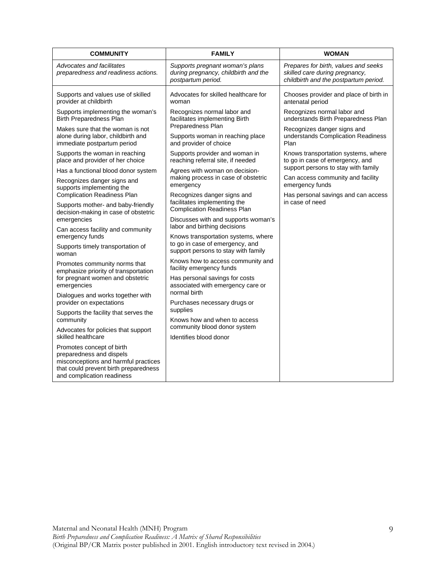| <b>COMMUNITY</b>                                                                                                                                                     | <b>FAMILY</b>                                                                                 | <b>WOMAN</b>                                                                                                    |
|----------------------------------------------------------------------------------------------------------------------------------------------------------------------|-----------------------------------------------------------------------------------------------|-----------------------------------------------------------------------------------------------------------------|
| Advocates and facilitates<br>preparedness and readiness actions.                                                                                                     | Supports pregnant woman's plans<br>during pregnancy, childbirth and the<br>postpartum period. | Prepares for birth, values and seeks<br>skilled care during pregnancy,<br>childbirth and the postpartum period. |
| Supports and values use of skilled<br>provider at childbirth                                                                                                         | Advocates for skilled healthcare for<br>woman                                                 | Chooses provider and place of birth in<br>antenatal period                                                      |
| Supports implementing the woman's<br>Birth Preparedness Plan                                                                                                         | Recognizes normal labor and<br>facilitates implementing Birth                                 | Recognizes normal labor and<br>understands Birth Preparedness Plan                                              |
| Makes sure that the woman is not<br>alone during labor, childbirth and<br>immediate postpartum period                                                                | Preparedness Plan<br>Supports woman in reaching place<br>and provider of choice               | Recognizes danger signs and<br>understands Complication Readiness<br>Plan                                       |
| Supports the woman in reaching<br>place and provider of her choice                                                                                                   | Supports provider and woman in<br>reaching referral site, if needed                           | Knows transportation systems, where<br>to go in case of emergency, and                                          |
| Has a functional blood donor system                                                                                                                                  | Agrees with woman on decision-                                                                | support persons to stay with family                                                                             |
| Recognizes danger signs and<br>supports implementing the                                                                                                             | making process in case of obstetric<br>emergency                                              | Can access community and facility<br>emergency funds                                                            |
| <b>Complication Readiness Plan</b>                                                                                                                                   | Recognizes danger signs and                                                                   | Has personal savings and can access                                                                             |
| Supports mother- and baby-friendly<br>decision-making in case of obstetric                                                                                           | facilitates implementing the<br><b>Complication Readiness Plan</b>                            | in case of need                                                                                                 |
| emergencies                                                                                                                                                          | Discusses with and supports woman's<br>labor and birthing decisions                           |                                                                                                                 |
| Can access facility and community<br>emergency funds                                                                                                                 | Knows transportation systems, where                                                           |                                                                                                                 |
| Supports timely transportation of<br>woman                                                                                                                           | to go in case of emergency, and<br>support persons to stay with family                        |                                                                                                                 |
| Promotes community norms that<br>emphasize priority of transportation                                                                                                | Knows how to access community and<br>facility emergency funds                                 |                                                                                                                 |
| for pregnant women and obstetric<br>emergencies                                                                                                                      | Has personal savings for costs<br>associated with emergency care or                           |                                                                                                                 |
| Dialogues and works together with                                                                                                                                    | normal birth                                                                                  |                                                                                                                 |
| provider on expectations                                                                                                                                             | Purchases necessary drugs or<br>supplies                                                      |                                                                                                                 |
| Supports the facility that serves the<br>community                                                                                                                   | Knows how and when to access                                                                  |                                                                                                                 |
| Advocates for policies that support                                                                                                                                  | community blood donor system                                                                  |                                                                                                                 |
| skilled healthcare                                                                                                                                                   | Identifies blood donor                                                                        |                                                                                                                 |
| Promotes concept of birth<br>preparedness and dispels<br>misconceptions and harmful practices<br>that could prevent birth preparedness<br>and complication readiness |                                                                                               |                                                                                                                 |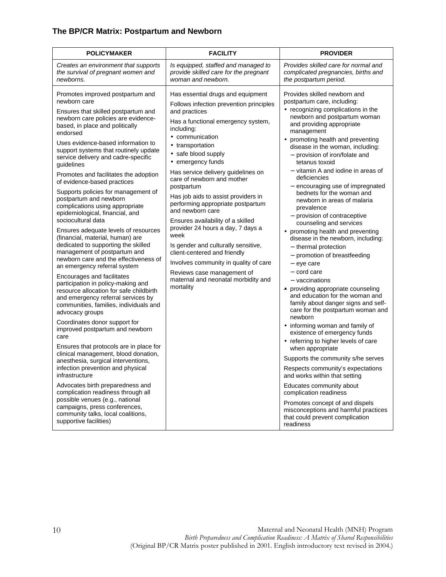## **The BP/CR Matrix: Postpartum and Newborn**

| <b>POLICYMAKER</b>                                                                                                                                                                                                                                                                                                                                                                                                                                                                                                                                                                                                                                                                                                                                                                                                                                                                                                                                                                                                                                                                                                                                                                                                                                                                                                                                                                                                                                                              | <b>FACILITY</b>                                                                                                                                                                                                                                                                                                                                                                                                                                                                                                                                                                                                                                                                                            | <b>PROVIDER</b>                                                                                                                                                                                                                                                                                                                                                                                                                                                                                                                                                                                                                                                                                                                                                                                                                                                                                                                                                                                                                                                                                                                                                                                                                                                                                                          |
|---------------------------------------------------------------------------------------------------------------------------------------------------------------------------------------------------------------------------------------------------------------------------------------------------------------------------------------------------------------------------------------------------------------------------------------------------------------------------------------------------------------------------------------------------------------------------------------------------------------------------------------------------------------------------------------------------------------------------------------------------------------------------------------------------------------------------------------------------------------------------------------------------------------------------------------------------------------------------------------------------------------------------------------------------------------------------------------------------------------------------------------------------------------------------------------------------------------------------------------------------------------------------------------------------------------------------------------------------------------------------------------------------------------------------------------------------------------------------------|------------------------------------------------------------------------------------------------------------------------------------------------------------------------------------------------------------------------------------------------------------------------------------------------------------------------------------------------------------------------------------------------------------------------------------------------------------------------------------------------------------------------------------------------------------------------------------------------------------------------------------------------------------------------------------------------------------|--------------------------------------------------------------------------------------------------------------------------------------------------------------------------------------------------------------------------------------------------------------------------------------------------------------------------------------------------------------------------------------------------------------------------------------------------------------------------------------------------------------------------------------------------------------------------------------------------------------------------------------------------------------------------------------------------------------------------------------------------------------------------------------------------------------------------------------------------------------------------------------------------------------------------------------------------------------------------------------------------------------------------------------------------------------------------------------------------------------------------------------------------------------------------------------------------------------------------------------------------------------------------------------------------------------------------|
| Creates an environment that supports<br>the survival of pregnant women and<br>newborns.                                                                                                                                                                                                                                                                                                                                                                                                                                                                                                                                                                                                                                                                                                                                                                                                                                                                                                                                                                                                                                                                                                                                                                                                                                                                                                                                                                                         | Is equipped, staffed and managed to<br>provide skilled care for the pregnant<br>woman and newborn.                                                                                                                                                                                                                                                                                                                                                                                                                                                                                                                                                                                                         | Provides skilled care for normal and<br>complicated pregnancies, births and<br>the postpartum period.                                                                                                                                                                                                                                                                                                                                                                                                                                                                                                                                                                                                                                                                                                                                                                                                                                                                                                                                                                                                                                                                                                                                                                                                                    |
| Promotes improved postpartum and<br>newborn care<br>Ensures that skilled postpartum and<br>newborn care policies are evidence-<br>based, in place and politically<br>endorsed<br>Uses evidence-based information to<br>support systems that routinely update<br>service delivery and cadre-specific<br>guidelines<br>Promotes and facilitates the adoption<br>of evidence-based practices<br>Supports policies for management of<br>postpartum and newborn<br>complications using appropriate<br>epidemiological, financial, and<br>sociocultural data<br>Ensures adequate levels of resources<br>(financial, material, human) are<br>dedicated to supporting the skilled<br>management of postpartum and<br>newborn care and the effectiveness of<br>an emergency referral system<br>Encourages and facilitates<br>participation in policy-making and<br>resource allocation for safe childbirth<br>and emergency referral services by<br>communities, families, individuals and<br>advocacy groups<br>Coordinates donor support for<br>improved postpartum and newborn<br>care<br>Ensures that protocols are in place for<br>clinical management, blood donation,<br>anesthesia, surgical interventions,<br>infection prevention and physical<br>infrastructure<br>Advocates birth preparedness and<br>complication readiness through all<br>possible venues (e.g., national<br>campaigns, press conferences,<br>community talks, local coalitions,<br>supportive facilities) | Has essential drugs and equipment<br>Follows infection prevention principles<br>and practices<br>Has a functional emergency system,<br>including:<br>• communication<br>• transportation<br>• safe blood supply<br>• emergency funds<br>Has service delivery guidelines on<br>care of newborn and mother<br>postpartum<br>Has job aids to assist providers in<br>performing appropriate postpartum<br>and newborn care<br>Ensures availability of a skilled<br>provider 24 hours a day, 7 days a<br>week<br>Is gender and culturally sensitive,<br>client-centered and friendly<br>Involves community in quality of care<br>Reviews case management of<br>maternal and neonatal morbidity and<br>mortality | Provides skilled newborn and<br>postpartum care, including:<br>• recognizing complications in the<br>newborn and postpartum woman<br>and providing appropriate<br>management<br>• promoting health and preventing<br>disease in the woman, including:<br>- provision of iron/folate and<br>tetanus toxoid<br>- vitamin A and iodine in areas of<br>deficiencies<br>- encouraging use of impregnated<br>bednets for the woman and<br>newborn in areas of malaria<br>prevalence<br>- provision of contraceptive<br>counseling and services<br>• promoting health and preventing<br>disease in the newborn, including:<br>- thermal protection<br>- promotion of breastfeeding<br>$-$ eye care<br>- cord care<br>- vaccinations<br>• providing appropriate counseling<br>and education for the woman and<br>family about danger signs and self-<br>care for the postpartum woman and<br>newborn<br>• informing woman and family of<br>existence of emergency funds<br>• referring to higher levels of care<br>when appropriate<br>Supports the community s/he serves<br>Respects community's expectations<br>and works within that setting<br>Educates community about<br>complication readiness<br>Promotes concept of and dispels<br>misconceptions and harmful practices<br>that could prevent complication<br>readiness |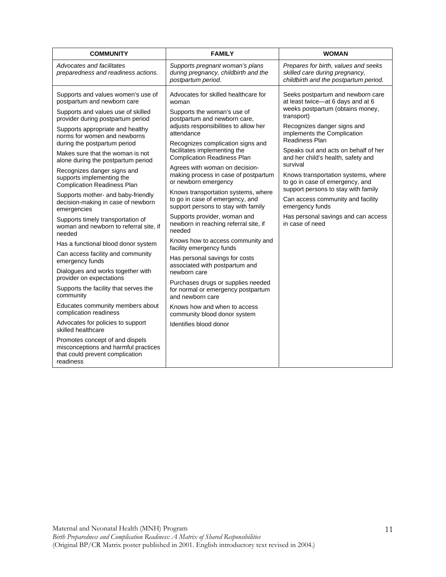| <b>COMMUNITY</b>                                                                                                                                                                                                                                                                                                                                                                                                                                                                                                                                                                                                                                                                                                                                                                                                                                                                                                                                                | <b>FAMILY</b>                                                                                                                                                                                                                                                                                                                                                                                                                                                                                                                                                                                                                                                                                                                                                                                                                                                                                                                       | <b>WOMAN</b>                                                                                                                                                                                                                                                                                                                                                                                                                                                                                                                          |
|-----------------------------------------------------------------------------------------------------------------------------------------------------------------------------------------------------------------------------------------------------------------------------------------------------------------------------------------------------------------------------------------------------------------------------------------------------------------------------------------------------------------------------------------------------------------------------------------------------------------------------------------------------------------------------------------------------------------------------------------------------------------------------------------------------------------------------------------------------------------------------------------------------------------------------------------------------------------|-------------------------------------------------------------------------------------------------------------------------------------------------------------------------------------------------------------------------------------------------------------------------------------------------------------------------------------------------------------------------------------------------------------------------------------------------------------------------------------------------------------------------------------------------------------------------------------------------------------------------------------------------------------------------------------------------------------------------------------------------------------------------------------------------------------------------------------------------------------------------------------------------------------------------------------|---------------------------------------------------------------------------------------------------------------------------------------------------------------------------------------------------------------------------------------------------------------------------------------------------------------------------------------------------------------------------------------------------------------------------------------------------------------------------------------------------------------------------------------|
| Advocates and facilitates<br>preparedness and readiness actions.                                                                                                                                                                                                                                                                                                                                                                                                                                                                                                                                                                                                                                                                                                                                                                                                                                                                                                | Supports pregnant woman's plans<br>during pregnancy, childbirth and the<br>postpartum period.                                                                                                                                                                                                                                                                                                                                                                                                                                                                                                                                                                                                                                                                                                                                                                                                                                       | Prepares for birth, values and seeks<br>skilled care during pregnancy,<br>childbirth and the postpartum period.                                                                                                                                                                                                                                                                                                                                                                                                                       |
| Supports and values women's use of<br>postpartum and newborn care<br>Supports and values use of skilled<br>provider during postpartum period<br>Supports appropriate and healthy<br>norms for women and newborns<br>during the postpartum period<br>Makes sure that the woman is not<br>alone during the postpartum period<br>Recognizes danger signs and<br>supports implementing the<br><b>Complication Readiness Plan</b><br>Supports mother- and baby-friendly<br>decision-making in case of newborn<br>emergencies<br>Supports timely transportation of<br>woman and newborn to referral site, if<br>needed<br>Has a functional blood donor system<br>Can access facility and community<br>emergency funds<br>Dialogues and works together with<br>provider on expectations<br>Supports the facility that serves the<br>community<br>Educates community members about<br>complication readiness<br>Advocates for policies to support<br>skilled healthcare | Advocates for skilled healthcare for<br>woman<br>Supports the woman's use of<br>postpartum and newborn care,<br>adjusts responsibilities to allow her<br>attendance<br>Recognizes complication signs and<br>facilitates implementing the<br><b>Complication Readiness Plan</b><br>Agrees with woman on decision-<br>making process in case of postpartum<br>or newborn emergency<br>Knows transportation systems, where<br>to go in case of emergency, and<br>support persons to stay with family<br>Supports provider, woman and<br>newborn in reaching referral site, if<br>needed<br>Knows how to access community and<br>facility emergency funds<br>Has personal savings for costs<br>associated with postpartum and<br>newborn care<br>Purchases drugs or supplies needed<br>for normal or emergency postpartum<br>and newborn care<br>Knows how and when to access<br>community blood donor system<br>Identifies blood donor | Seeks postpartum and newborn care<br>at least twice-at 6 days and at 6<br>weeks postpartum (obtains money,<br>transport)<br>Recognizes danger signs and<br>implements the Complication<br>Readiness Plan<br>Speaks out and acts on behalf of her<br>and her child's health, safety and<br>survival<br>Knows transportation systems, where<br>to go in case of emergency, and<br>support persons to stay with family<br>Can access community and facility<br>emergency funds<br>Has personal savings and can access<br>in case of need |
| Promotes concept of and dispels<br>misconceptions and harmful practices<br>that could prevent complication<br>readiness                                                                                                                                                                                                                                                                                                                                                                                                                                                                                                                                                                                                                                                                                                                                                                                                                                         |                                                                                                                                                                                                                                                                                                                                                                                                                                                                                                                                                                                                                                                                                                                                                                                                                                                                                                                                     |                                                                                                                                                                                                                                                                                                                                                                                                                                                                                                                                       |